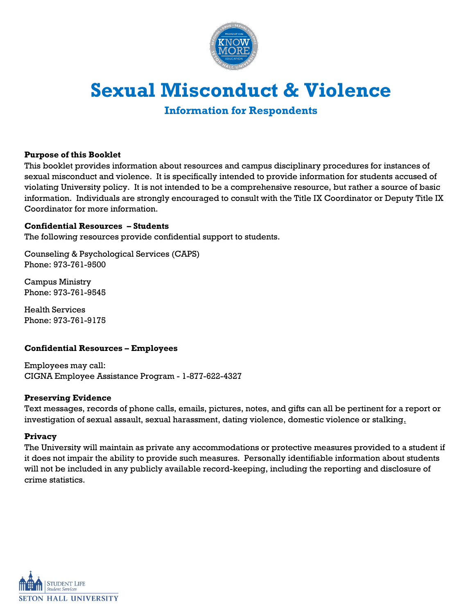

# **Sexual Misconduct & Violence**

**Information for Respondents**

# **Purpose of this Booklet**

This booklet provides information about resources and campus disciplinary procedures for instances of sexual misconduct and violence. It is specifically intended to provide information for students accused of violating University policy. It is not intended to be a comprehensive resource, but rather a source of basic information. Individuals are strongly encouraged to consult with the Title IX Coordinator or Deputy Title IX Coordinator for more information.

#### **Confidential Resources – Students**

The following resources provide confidential support to students.

Counseling & Psychological Services (CAPS) Phone: 973-761-9500

Campus Ministry Phone: 973-761-9545

Health Services Phone: 973-761-9175

# **Confidential Resources – Employees**

Employees may call: CIGNA Employee Assistance Program - 1-877-622-4327

#### **Preserving Evidence**

Text messages, records of phone calls, emails, pictures, notes, and gifts can all be pertinent for a report or investigation of sexual assault, sexual harassment, dating violence, domestic violence or stalking.

#### **Privacy**

The University will maintain as private any accommodations or protective measures provided to a student if it does not impair the ability to provide such measures. Personally identifiable information about students will not be included in any publicly available record-keeping, including the reporting and disclosure of crime statistics.

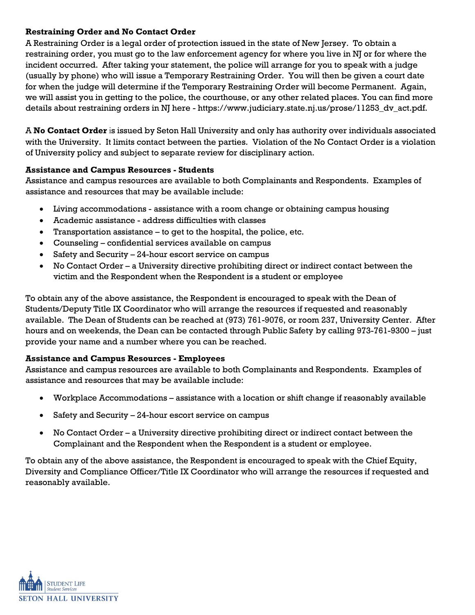# **Restraining Order and No Contact Order**

A Restraining Order is a legal order of protection issued in the state of New Jersey. To obtain a restraining order, you must go to the law enforcement agency for where you live in NJ or for where the incident occurred. After taking your statement, the police will arrange for you to speak with a judge (usually by phone) who will issue a Temporary Restraining Order. You will then be given a court date for when the judge will determine if the Temporary Restraining Order will become Permanent. Again, we will assist you in getting to the police, the courthouse, or any other related places. You can find more details about restraining orders in NJ here - https://www.judiciary.state.nj.us/prose/11253\_dv\_act.pdf.

A **No Contact Order** is issued by Seton Hall University and only has authority over individuals associated with the University. It limits contact between the parties. Violation of the No Contact Order is a violation of University policy and subject to separate review for disciplinary action.

# **Assistance and Campus Resources - Students**

Assistance and campus resources are available to both Complainants and Respondents. Examples of assistance and resources that may be available include:

- Living accommodations assistance with a room change or obtaining campus housing
- Academic assistance address difficulties with classes
- Transportation assistance to get to the hospital, the police, etc.
- Counseling confidential services available on campus
- Safety and Security 24-hour escort service on campus
- No Contact Order a University directive prohibiting direct or indirect contact between the victim and the Respondent when the Respondent is a student or employee

To obtain any of the above assistance, the Respondent is encouraged to speak with the Dean of Students/Deputy Title IX Coordinator who will arrange the resources if requested and reasonably available. The Dean of Students can be reached at (973) 761-9076, or room 237, University Center. After hours and on weekends, the Dean can be contacted through Public Safety by calling 973-761-9300 – just provide your name and a number where you can be reached.

# **Assistance and Campus Resources - Employees**

Assistance and campus resources are available to both Complainants and Respondents. Examples of assistance and resources that may be available include:

- Workplace Accommodations assistance with a location or shift change if reasonably available
- Safety and Security 24-hour escort service on campus
- No Contact Order a University directive prohibiting direct or indirect contact between the Complainant and the Respondent when the Respondent is a student or employee.

To obtain any of the above assistance, the Respondent is encouraged to speak with the Chief Equity, Diversity and Compliance Officer/Title IX Coordinator who will arrange the resources if requested and reasonably available.

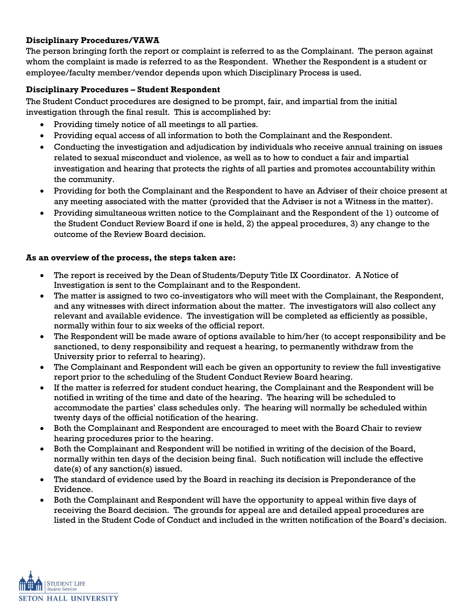# **Disciplinary Procedures/VAWA**

The person bringing forth the report or complaint is referred to as the Complainant. The person against whom the complaint is made is referred to as the Respondent. Whether the Respondent is a student or employee/faculty member/vendor depends upon which Disciplinary Process is used.

# **Disciplinary Procedures – Student Respondent**

The Student Conduct procedures are designed to be prompt, fair, and impartial from the initial investigation through the final result. This is accomplished by:

- Providing timely notice of all meetings to all parties.
- Providing equal access of all information to both the Complainant and the Respondent.
- Conducting the investigation and adjudication by individuals who receive annual training on issues related to sexual misconduct and violence, as well as to how to conduct a fair and impartial investigation and hearing that protects the rights of all parties and promotes accountability within the community.
- Providing for both the Complainant and the Respondent to have an Adviser of their choice present at any meeting associated with the matter (provided that the Adviser is not a Witness in the matter).
- Providing simultaneous written notice to the Complainant and the Respondent of the 1) outcome of the Student Conduct Review Board if one is held, 2) the appeal procedures, 3) any change to the outcome of the Review Board decision.

# **As an overview of the process, the steps taken are:**

- The report is received by the Dean of Students/Deputy Title IX Coordinator. A Notice of Investigation is sent to the Complainant and to the Respondent.
- The matter is assigned to two co-investigators who will meet with the Complainant, the Respondent, and any witnesses with direct information about the matter. The investigators will also collect any relevant and available evidence. The investigation will be completed as efficiently as possible, normally within four to six weeks of the official report.
- The Respondent will be made aware of options available to him/her (to accept responsibility and be sanctioned, to deny responsibility and request a hearing, to permanently withdraw from the University prior to referral to hearing).
- The Complainant and Respondent will each be given an opportunity to review the full investigative report prior to the scheduling of the Student Conduct Review Board hearing.
- If the matter is referred for student conduct hearing, the Complainant and the Respondent will be notified in writing of the time and date of the hearing. The hearing will be scheduled to accommodate the parties' class schedules only. The hearing will normally be scheduled within twenty days of the official notification of the hearing.
- Both the Complainant and Respondent are encouraged to meet with the Board Chair to review hearing procedures prior to the hearing.
- Both the Complainant and Respondent will be notified in writing of the decision of the Board, normally within ten days of the decision being final. Such notification will include the effective date(s) of any sanction(s) issued.
- The standard of evidence used by the Board in reaching its decision is Preponderance of the Evidence.
- Both the Complainant and Respondent will have the opportunity to appeal within five days of receiving the Board decision. The grounds for appeal are and detailed appeal procedures are listed in the Student Code of Conduct and included in the written notification of the Board's decision.

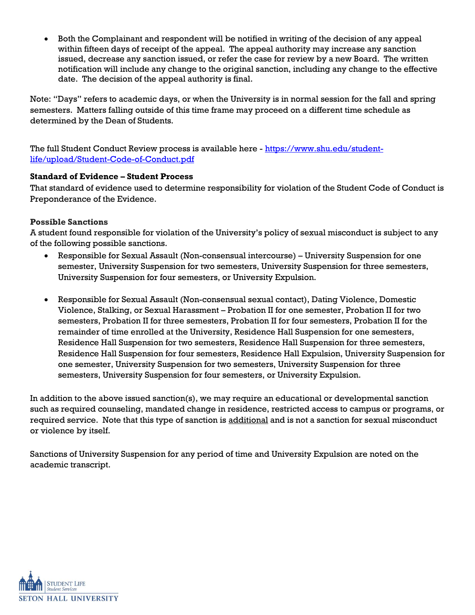• Both the Complainant and respondent will be notified in writing of the decision of any appeal within fifteen days of receipt of the appeal. The appeal authority may increase any sanction issued, decrease any sanction issued, or refer the case for review by a new Board. The written notification will include any change to the original sanction, including any change to the effective date. The decision of the appeal authority is final.

Note: "Days" refers to academic days, or when the University is in normal session for the fall and spring semesters. Matters falling outside of this time frame may proceed on a different time schedule as determined by the Dean of Students.

The full Student Conduct Review process is available here - [https://www.shu.edu/student](https://www.shu.edu/student-life/upload/Student-Code-of-Conduct.pdf)[life/upload/Student-Code-of-Conduct.pdf](https://www.shu.edu/student-life/upload/Student-Code-of-Conduct.pdf)

# **Standard of Evidence – Student Process**

That standard of evidence used to determine responsibility for violation of the Student Code of Conduct is Preponderance of the Evidence.

#### **Possible Sanctions**

A student found responsible for violation of the University's policy of sexual misconduct is subject to any of the following possible sanctions.

- Responsible for Sexual Assault (Non-consensual intercourse) University Suspension for one semester, University Suspension for two semesters, University Suspension for three semesters, University Suspension for four semesters, or University Expulsion.
- Responsible for Sexual Assault (Non-consensual sexual contact), Dating Violence, Domestic Violence, Stalking, or Sexual Harassment – Probation II for one semester, Probation II for two semesters, Probation II for three semesters, Probation II for four semesters, Probation II for the remainder of time enrolled at the University, Residence Hall Suspension for one semesters, Residence Hall Suspension for two semesters, Residence Hall Suspension for three semesters, Residence Hall Suspension for four semesters, Residence Hall Expulsion, University Suspension for one semester, University Suspension for two semesters, University Suspension for three semesters, University Suspension for four semesters, or University Expulsion.

In addition to the above issued sanction(s), we may require an educational or developmental sanction such as required counseling, mandated change in residence, restricted access to campus or programs, or required service. Note that this type of sanction is additional and is not a sanction for sexual misconduct or violence by itself.

Sanctions of University Suspension for any period of time and University Expulsion are noted on the academic transcript.

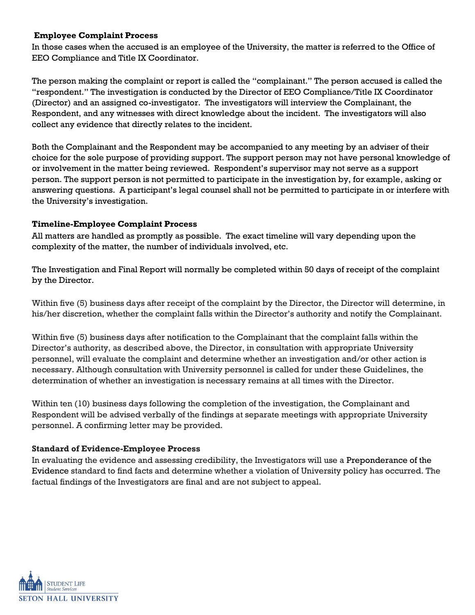#### **Employee Complaint Process**

In those cases when the accused is an employee of the University, the matter is referred to the Office of EEO Compliance and Title IX Coordinator.

The person making the complaint or report is called the "complainant." The person accused is called the "respondent." The investigation is conducted by the Director of EEO Compliance/Title IX Coordinator (Director) and an assigned co-investigator. The investigators will interview the Complainant, the Respondent, and any witnesses with direct knowledge about the incident. The investigators will also collect any evidence that directly relates to the incident.

Both the Complainant and the Respondent may be accompanied to any meeting by an adviser of their choice for the sole purpose of providing support. The support person may not have personal knowledge of or involvement in the matter being reviewed. Respondent's supervisor may not serve as a support person. The support person is not permitted to participate in the investigation by, for example, asking or answering questions. A participant's legal counsel shall not be permitted to participate in or interfere with the University's investigation.

#### **Timeline-Employee Complaint Process**

All matters are handled as promptly as possible. The exact timeline will vary depending upon the complexity of the matter, the number of individuals involved, etc.

The Investigation and Final Report will normally be completed within 50 days of receipt of the complaint by the Director.

Within five (5) business days after receipt of the complaint by the Director, the Director will determine, in his/her discretion, whether the complaint falls within the Director's authority and notify the Complainant.

Within five (5) business days after notification to the Complainant that the complaint falls within the Director's authority, as described above, the Director, in consultation with appropriate University personnel, will evaluate the complaint and determine whether an investigation and/or other action is necessary. Although consultation with University personnel is called for under these Guidelines, the determination of whether an investigation is necessary remains at all times with the Director.

Within ten (10) business days following the completion of the investigation, the Complainant and Respondent will be advised verbally of the findings at separate meetings with appropriate University personnel. A confirming letter may be provided.

# **Standard of Evidence-Employee Process**

In evaluating the evidence and assessing credibility, the Investigators will use a Preponderance of the Evidence standard to find facts and determine whether a violation of University policy has occurred. The factual findings of the Investigators are final and are not subject to appeal.

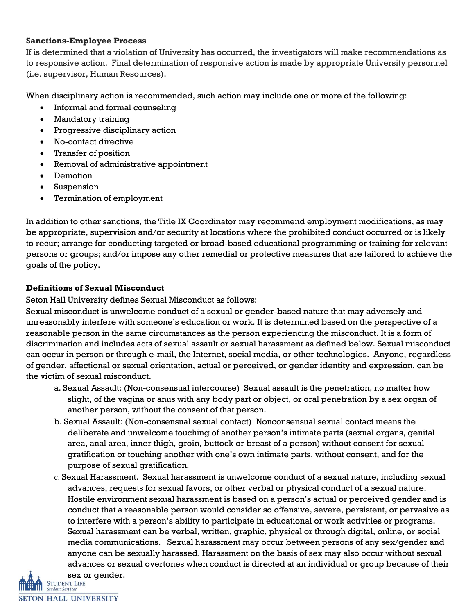#### **Sanctions-Employee Process**

If is determined that a violation of University has occurred, the investigators will make recommendations as to responsive action. Final determination of responsive action is made by appropriate University personnel (i.e. supervisor, Human Resources).

When disciplinary action is recommended, such action may include one or more of the following:

- Informal and formal counseling
- Mandatory training
- Progressive disciplinary action
- No-contact directive
- Transfer of position
- Removal of administrative appointment
- Demotion
- Suspension
- Termination of employment

In addition to other sanctions, the Title IX Coordinator may recommend employment modifications, as may be appropriate, supervision and/or security at locations where the prohibited conduct occurred or is likely to recur; arrange for conducting targeted or broad-based educational programming or training for relevant persons or groups; and/or impose any other remedial or protective measures that are tailored to achieve the goals of the policy.

# **Definitions of Sexual Misconduct**

Seton Hall University defines Sexual Misconduct as follows:

Sexual misconduct is unwelcome conduct of a sexual or gender-based nature that may adversely and unreasonably interfere with someone's education or work. It is determined based on the perspective of a reasonable person in the same circumstances as the person experiencing the misconduct. It is a form of discrimination and includes acts of sexual assault or sexual harassment as defined below. Sexual misconduct can occur in person or through e-mail, the Internet, social media, or other technologies. Anyone, regardless of gender, affectional or sexual orientation, actual or perceived, or gender identity and expression, can be the victim of sexual misconduct.

- a. Sexual Assault: (Non-consensual intercourse) Sexual assault is the penetration, no matter how slight, of the vagina or anus with any body part or object, or oral penetration by a sex organ of another person, without the consent of that person.
- b. Sexual Assault: (Non-consensual sexual contact) Nonconsensual sexual contact means the deliberate and unwelcome touching of another person's intimate parts (sexual organs, genital area, anal area, inner thigh, groin, buttock or breast of a person) without consent for sexual gratification or touching another with one's own intimate parts, without consent, and for the purpose of sexual gratification.
- c. Sexual Harassment. Sexual harassment is unwelcome conduct of a sexual nature, including sexual advances, requests for sexual favors, or other verbal or physical conduct of a sexual nature. Hostile environment sexual harassment is based on a person's actual or perceived gender and is conduct that a reasonable person would consider so offensive, severe, persistent, or pervasive as to interfere with a person's ability to participate in educational or work activities or programs. Sexual harassment can be verbal, written, graphic, physical or through digital, online, or social media communications. Sexual harassment may occur between persons of any sex/gender and anyone can be sexually harassed. Harassment on the basis of sex may also occur without sexual advances or sexual overtones when conduct is directed at an individual or group because of their **Sex or gender.**<br>STUDENT LIFE<br>Student Services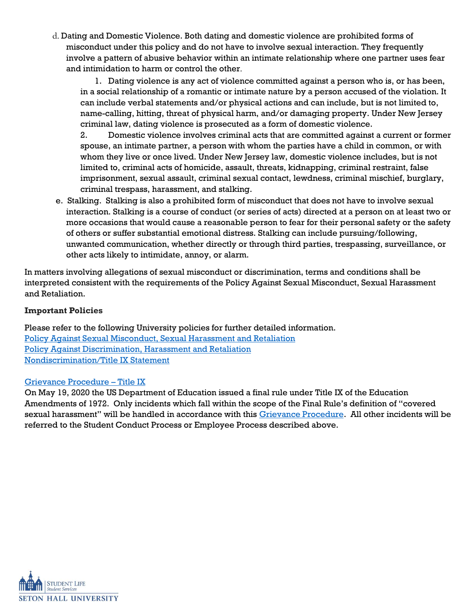d. Dating and Domestic Violence. Both dating and domestic violence are prohibited forms of misconduct under this policy and do not have to involve sexual interaction. They frequently involve a pattern of abusive behavior within an intimate relationship where one partner uses fear and intimidation to harm or control the other.

1. Dating violence is any act of violence committed against a person who is, or has been, in a social relationship of a romantic or intimate nature by a person accused of the violation. It can include verbal statements and/or physical actions and can include, but is not limited to, name-calling, hitting, threat of physical harm, and/or damaging property. Under New Jersey criminal law, dating violence is prosecuted as a form of domestic violence.

2. Domestic violence involves criminal acts that are committed against a current or former spouse, an intimate partner, a person with whom the parties have a child in common, or with whom they live or once lived. Under New Jersey law, domestic violence includes, but is not limited to, criminal acts of homicide, assault, threats, kidnapping, criminal restraint, false imprisonment, sexual assault, criminal sexual contact, lewdness, criminal mischief, burglary, criminal trespass, harassment, and stalking.

e. Stalking.Stalking is also a prohibited form of misconduct that does not have to involve sexual interaction. Stalking is a course of conduct (or series of acts) directed at a person on at least two or more occasions that would cause a reasonable person to fear for their personal safety or the safety of others or suffer substantial emotional distress. Stalking can include pursuing/following, unwanted communication, whether directly or through third parties, trespassing, surveillance, or other acts likely to intimidate, annoy, or alarm.

In matters involving allegations of sexual misconduct or discrimination, terms and conditions shall be interpreted consistent with the requirements of the Policy Against Sexual Misconduct, Sexual Harassment and Retaliation.

# **Important Policies**

Please refer to the following University policies for further detailed information. [Policy Against Sexual Misconduct, Sexual Harassment and Retaliation](https://www.shu.edu/policies/policy-against-sexual-misconduct-sexual-harassment-and-retaliation.cfm) [Policy Against Discrimination, Harassment and Retaliation](https://www.shu.edu/policies/discrimination-harassment-retaliation.cfm) [Nondiscrimination/Title IX](https://www.shu.edu/policies/nondiscrimination-title-ix-statement.cfm) Statement

# [Grievance Procedure](https://www.shu.edu/policies/title-ix-grievance-procedure.cfm) – Title IX

On May 19, 2020 the US Department of Education issued a final rule under Title IX of the Education Amendments of 1972. Only incidents which fall within the scope of the Final Rule's definition of "covered sexual harassment" will be handled in accordance with this [Grievance Procedure.](https://www.shu.edu/policies/title-ix-grievance-procedure.cfm) All other incidents will be referred to the Student Conduct Process or Employee Process described above.